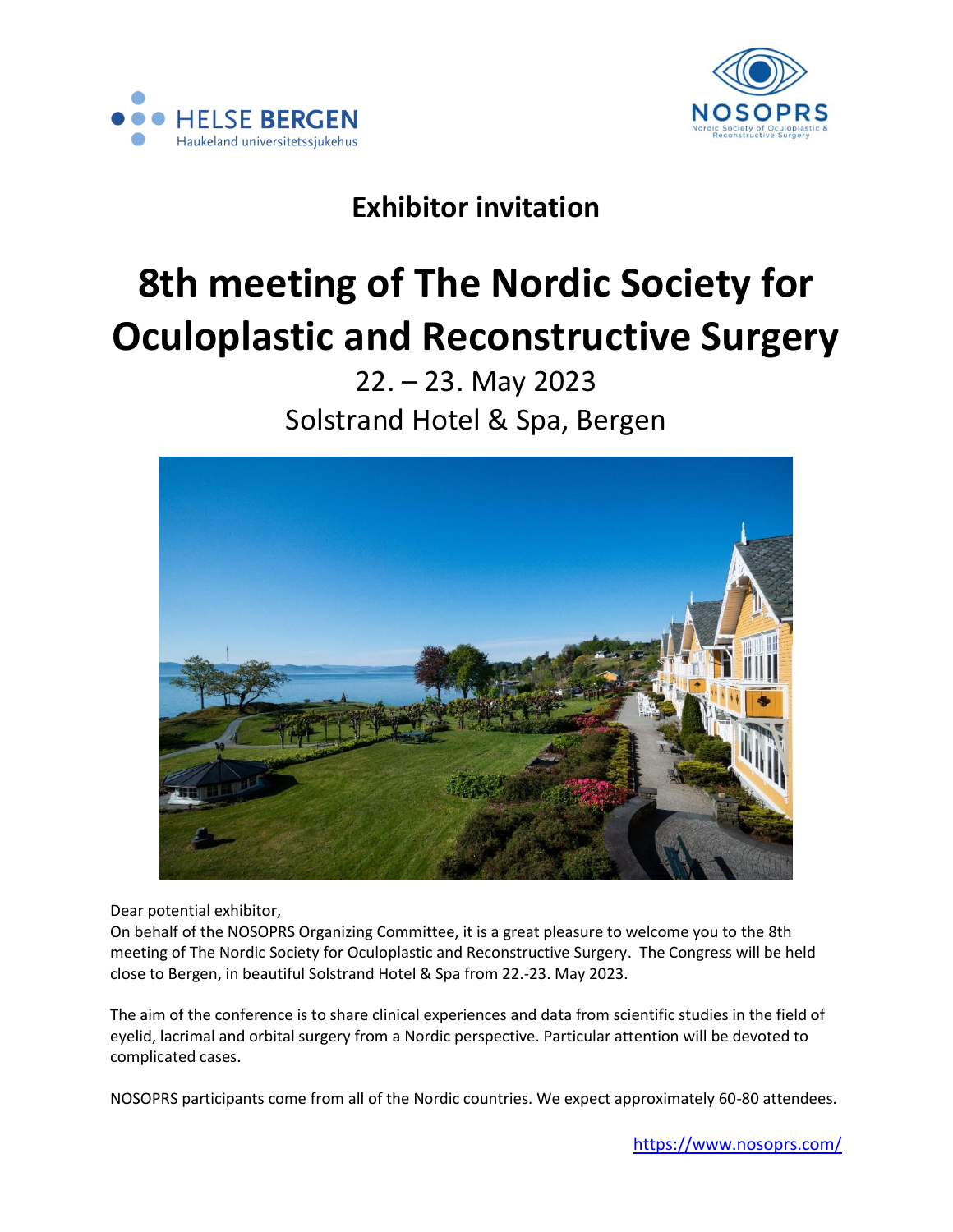



# **Exhibitor invitation**

# **8th meeting of The Nordic Society for Oculoplastic and Reconstructive Surgery**

# 22. – 23. May 2023 Solstrand Hotel & Spa, Bergen



Dear potential exhibitor,

On behalf of the NOSOPRS Organizing Committee, it is a great pleasure to welcome you to the 8th meeting of The Nordic Society for Oculoplastic and Reconstructive Surgery. The Congress will be held close to Bergen, in beautiful Solstrand Hotel & Spa from 22.-23. May 2023.

The aim of the conference is to share clinical experiences and data from scientific studies in the field of eyelid, lacrimal and orbital surgery from a Nordic perspective. Particular attention will be devoted to complicated cases.

NOSOPRS participants come from all of the Nordic countries. We expect approximately 60-80 attendees.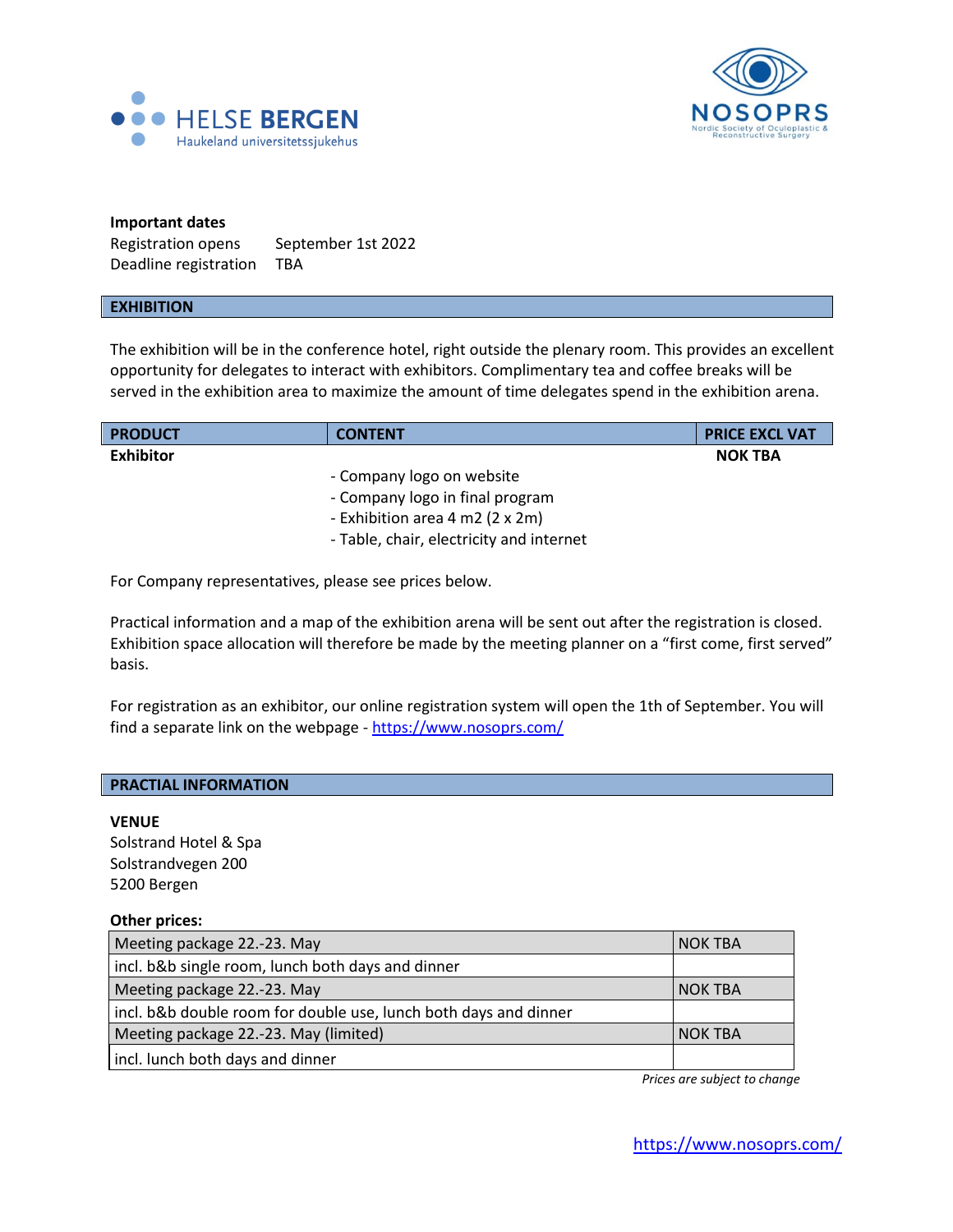



## **Important dates**

Registration opens September 1st 2022 Deadline registration TBA

#### **EXHIBITION**

The exhibition will be in the conference hotel, right outside the plenary room. This provides an excellent opportunity for delegates to interact with exhibitors. Complimentary tea and coffee breaks will be served in the exhibition area to maximize the amount of time delegates spend in the exhibition arena.

| <b>PRODUCT</b> | <b>CONTENT</b>                           | <b>PRICE EXCL VAT</b> |
|----------------|------------------------------------------|-----------------------|
| Exhibitor      |                                          | <b>NOK TBA</b>        |
|                | - Company logo on website                |                       |
|                | - Company logo in final program          |                       |
|                | - Exhibition area 4 m2 (2 x 2m)          |                       |
|                | - Table, chair, electricity and internet |                       |

For Company representatives, please see prices below.

Practical information and a map of the exhibition arena will be sent out after the registration is closed. Exhibition space allocation will therefore be made by the meeting planner on a "first come, first served" basis.

For registration as an exhibitor, our online registration system will open the 1th of September. You will find a separate link on the webpage - <https://www.nosoprs.com/>

#### **PRACTIAL INFORMATION**

#### **VENUE**

Solstrand Hotel & Spa Solstrandvegen 200 5200 Bergen

#### **Other prices:**

| Meeting package 22.-23. May                                      | <b>NOK TBA</b> |
|------------------------------------------------------------------|----------------|
| incl. b&b single room, lunch both days and dinner                |                |
| Meeting package 22.-23. May                                      | NOK TBA        |
| incl. b&b double room for double use, lunch both days and dinner |                |
| Meeting package 22.-23. May (limited)                            | <b>NOK TBA</b> |
| incl. lunch both days and dinner                                 |                |

 *Prices are subject to change*